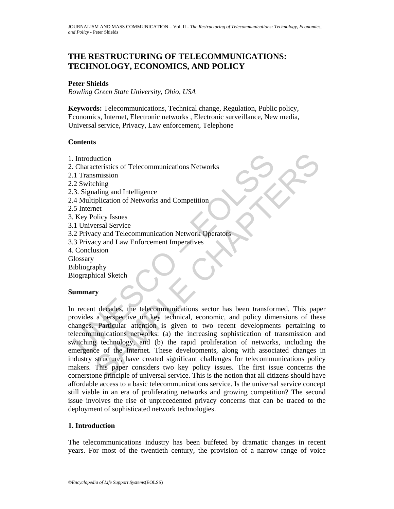# **THE RESTRUCTURING OF TELECOMMUNICATIONS: TECHNOLOGY, ECONOMICS, AND POLICY**

### **Peter Shields**

*Bowling Green State University, Ohio, USA* 

**Keywords:** Telecommunications, Technical change, Regulation, Public policy, Economics, Internet, Electronic networks , Electronic surveillance, New media, Universal service, Privacy, Law enforcement, Telephone

### **Contents**

- 1. Introduction
- 2. Characteristics of Telecommunications Networks
- 2.1 Transmission
- 2.2 Switching
- 2.3. Signaling and Intelligence
- 2.4 Multiplication of Networks and Competition
- 2.5 Internet
- 3. Key Policy Issues
- 3.1 Universal Service
- 3.2 Privacy and Telecommunication Network Operators
- 3.3 Privacy and Law Enforcement Imperatives
- 4. Conclusion
- **Glossary**
- Bibliography
- Biographical Sketch

### **Summary**

Introduction<br>
Intransmission<br>
2. Switching<br>
3. Signaling and Intelligence<br>
3. Signaling and Intelligence<br>
4. Multiplication of Networks and Competition<br>
5. Internet<br>
4. Wey Policy Issues<br>
1. Universal Service<br>
2. Privacy a SAMPLE CHAPTERS In recent decades, the telecommunications sector has been transformed. This paper provides a perspective on key technical, economic, and policy dimensions of these changes. Particular attention is given to two recent developments pertaining to telecommunications networks: (a) the increasing sophistication of transmission and switching technology, and (b) the rapid proliferation of networks, including the emergence of the Internet. These developments, along with associated changes in industry structure, have created significant challenges for telecommunications policy makers. This paper considers two key policy issues. The first issue concerns the cornerstone principle of universal service. This is the notion that all citizens should have affordable access to a basic telecommunications service. Is the universal service concept still viable in an era of proliferating networks and growing competition? The second issue involves the rise of unprecedented privacy concerns that can be traced to the deployment of sophisticated network technologies.

### **1. Introduction**

The telecommunications industry has been buffeted by dramatic changes in recent years. For most of the twentieth century, the provision of a narrow range of voice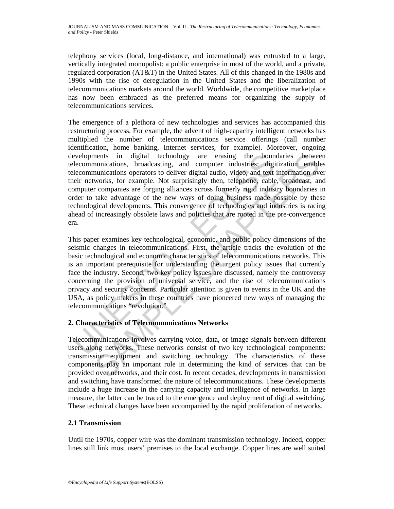telephony services (local, long-distance, and international) was entrusted to a large, vertically integrated monopolist: a public enterprise in most of the world, and a private, regulated corporation (AT&T) in the United States. All of this changed in the 1980s and 1990s with the rise of deregulation in the United States and the liberalization of telecommunications markets around the world. Worldwide, the competitive marketplace has now been embraced as the preferred means for organizing the supply of telecommunications services.

The emergence of a plethora of new technologies and services has accompanied this restructuring process. For example, the advent of high-capacity intelligent networks has multiplied the number of telecommunications service offerings (call number identification, home banking, Internet services, for example). Moreover, ongoing developments in digital technology are erasing the boundaries between telecommunications, broadcasting, and computer industries; digitization enables telecommunications operators to deliver digital audio, video, and text information over their networks, for example. Not surprisingly then, telephone, cable, broadcast, and computer companies are forging alliances across formerly rigid industry boundaries in order to take advantage of the new ways of doing business made possible by these technological developments. This convergence of technologies and industries is racing ahead of increasingly obsolete laws and policies that are rooted in the pre-convergence era.

evelopments in digital technology are erasing the bounded evelopments in digital technology are erasing the bounded elecommunications, broadcasting, and computer industries; digitecommunications operators to deliver digita munications, broadcasting, and computer industries; digitization enablom<br>numications, broadcasting, and computer industries; digitization enablom<br>numications operators to deliver digital audio, video, and text information This paper examines key technological, economic, and public policy dimensions of the seismic changes in telecommunications. First, the article tracks the evolution of the basic technological and economic characteristics of telecommunications networks. This is an important prerequisite for understanding the urgent policy issues that currently face the industry. Second, two key policy issues are discussed, namely the controversy concerning the provision of universal service, and the rise of telecommunications privacy and security concerns. Particular attention is given to events in the UK and the USA, as policy makers in these countries have pioneered new ways of managing the telecommunications "revolution."

# **2. Characteristics of Telecommunications Networks**

Telecommunications involves carrying voice, data, or image signals between different users along networks. These networks consist of two key technological components: transmission equipment and switching technology. The characteristics of these components play an important role in determining the kind of services that can be provided over networks, and their cost. In recent decades, developments in transmission and switching have transformed the nature of telecommunications. These developments include a huge increase in the carrying capacity and intelligence of networks. In large measure, the latter can be traced to the emergence and deployment of digital switching. These technical changes have been accompanied by the rapid proliferation of networks.

# **2.1 Transmission**

Until the 1970s, copper wire was the dominant transmission technology. Indeed, copper lines still link most users' premises to the local exchange. Copper lines are well suited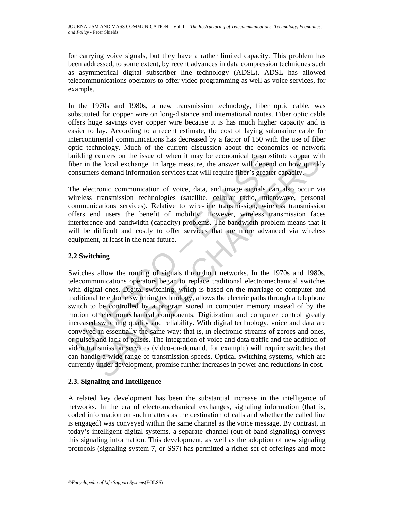for carrying voice signals, but they have a rather limited capacity. This problem has been addressed, to some extent, by recent advances in data compression techniques such as asymmetrical digital subscriber line technology (ADSL). ADSL has allowed telecommunications operators to offer video programming as well as voice services, for example.

In the 1970s and 1980s, a new transmission technology, fiber optic cable, was substituted for copper wire on long-distance and international routes. Fiber optic cable offers huge savings over copper wire because it is has much higher capacity and is easier to lay. According to a recent estimate, the cost of laying submarine cable for intercontinental communications has decreased by a factor of 150 with the use of fiber optic technology. Much of the current discussion about the economics of network building centers on the issue of when it may be economical to substitute copper with fiber in the local exchange. In large measure, the answer will depend on how quickly consumers demand information services that will require fiber's greater capacity.

The electronic communication of voice, data, and image signals can also occur via wireless transmission technologies (satellite, cellular radio, microwave, personal communications services). Relative to wire-line transmission, wireless transmission offers end users the benefit of mobility. However, wireless transmission faces interference and bandwidth (capacity) problems. The bandwidth problem means that it will be difficult and costly to offer services that are more advanced via wireless equipment, at least in the near future.

# **2.2 Switching**

uilding centers on the issue of when it may be economical to substiber in the local exchange. In large measure, the answer will depend<br>onsumers demand information services that will require fiber's greater<br>the electronic c centers on the issue of when it may be economical to substitute copper with local exchange. In large measure, the answer will depend on how quirely stroken is denoted in the seven that virtual experimential formic communic Switches allow the routing of signals throughout networks. In the 1970s and 1980s, telecommunications operators began to replace traditional electromechanical switches with digital ones. Digital switching, which is based on the marriage of computer and traditional telephone switching technology, allows the electric paths through a telephone switch to be controlled by a program stored in computer memory instead of by the motion of electromechanical components. Digitization and computer control greatly increased switching quality and reliability. With digital technology, voice and data are conveyed in essentially the same way: that is, in electronic streams of zeroes and ones, or pulses and lack of pulses. The integration of voice and data traffic and the addition of video transmission services (video-on-demand, for example) will require switches that can handle a wide range of transmission speeds. Optical switching systems, which are currently under development, promise further increases in power and reductions in cost.

# **2.3. Signaling and Intelligence**

A related key development has been the substantial increase in the intelligence of networks. In the era of electromechanical exchanges, signaling information (that is, coded information on such matters as the destination of calls and whether the called line is engaged) was conveyed within the same channel as the voice message. By contrast, in today's intelligent digital systems, a separate channel (out-of-band signaling) conveys this signaling information. This development, as well as the adoption of new signaling protocols (signaling system 7, or SS7) has permitted a richer set of offerings and more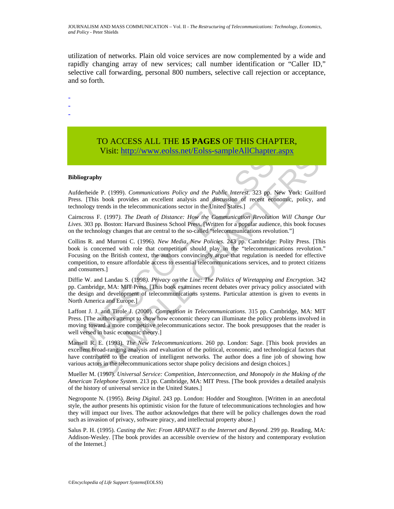utilization of networks. Plain old voice services are now complemented by a wide and rapidly changing array of new services; call number identification or "Caller ID," selective call forwarding, personal 800 numbers, selective call rejection or acceptance, and so forth.

- -

-

# TO ACCESS ALL THE **15 PAGES** OF THIS CHAPTER, Visit: [http://www.eolss.net/Eolss-sampleAllChapter.aspx](https://www.eolss.net/ebooklib/sc_cart.aspx?File=E6-33-04-01)

#### **Bibliography**

Aufderheide P. (1999). *Communications Policy and the Public Interest*. 323 pp. New York: Guilford Press. [This book provides an excellent analysis and discussion of recent economic, policy, and technology trends in the telecommunications sector in the United States.]

Cairncross F. (1997*). The Death of Distance: How the Communication Revolution Will Change Our Lives*. 303 pp. Boston: Harvard Business School Press. [Written for a popular audience, this book focuses on the technology changes that are central to the so-called "telecommunications revolution."]

**FIGAL INTERVALUATE CONSISTING LOOSE SUITE/FIGAT SUITS (In the SUITS CONSISTING LOOSES SUITS) and the Public Interest. 323 pp. 2<br>
reflectmendogy trends in the telecommunications Policy and the Public Interest. 323 pp. 2<br> FACTION**<br>**EXERCISE COLLECT COLLECT COLLECT AND TRANSPARED (COLLECT AND PROPORT)<br>
SEEN BOON provides an excellent analysis and distansion of recent economic, policy, at<br>
its hook provides an excellent analysis and distanc** Collins R. and Murroni C. (1996). *New Media, New Policies*. 243 pp. Cambridge: Polity Press. [This book is concerned with role that competition should play in the "telecommunications revolution." Focusing on the British context, the authors convincingly argue that regulation is needed for effective competition, to ensure affordable access to essential telecommunications services, and to protect citizens and consumers.]

Diffie W. and Landau S. (1998*). Privacy on the Line: The Politics of Wiretapping and Encryption*. 342 pp. Cambridge, MA: MIT Press. [This book examines recent debates over privacy policy associated with the design and development of telecommunications systems. Particular attention is given to events in North America and Europe.]

Laffont J. J. and Tirole J. (2000). *Competition in Telecommunications*. 315 pp. Cambridge, MA: MIT Press. [The authors attempt to show how economic theory can illuminate the policy problems involved in moving toward a more competitive telecommunications sector. The book presupposes that the reader is well versed in basic economic theory.]

Mansell R. E. (1993). *The New Telecommunications*. 260 pp. London: Sage. [This book provides an excellent broad-ranging analysis and evaluation of the political, economic, and technological factors that have contributed to the creation of intelligent networks. The author does a fine job of showing how various actors in the telecommunications sector shape policy decisions and design choices.]

Mueller M. (1997). *Universal Service: Competition, Interconnection, and Monopoly in the Making of the American Telephone System*. 213 pp. Cambridge, MA: MIT Press. [The book provides a detailed analysis of the history of universal service in the United States.]

Negroponte N. (1995). *Being Digital*. 243 pp. London: Hodder and Stoughton. [Written in an anecdotal style, the author presents his optimistic vision for the future of telecommunications technologies and how they will impact our lives. The author acknowledges that there will be policy challenges down the road such as invasion of privacy, software piracy, and intellectual property abuse.]

Salus P. H. (1995). *Casting the Net: From ARPANET to the Internet and Beyond*. 299 pp. Reading, MA: Addison-Wesley. [The book provides an accessible overview of the history and contemporary evolution of the Internet.]